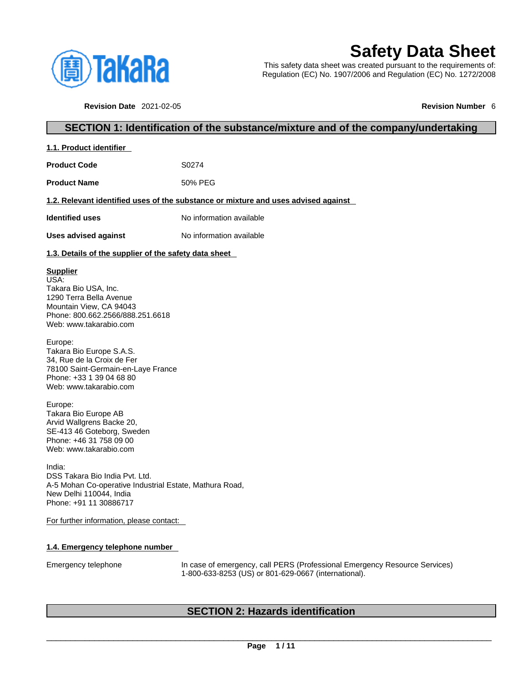

# **Safety Data Sheet**

This safety data sheet was created pursuant to the requirements of: Regulation (EC) No. 1907/2006 and Regulation (EC) No. 1272/2008

**Revision Date** 2021-02-05 **Revision Number** 6

# **SECTION 1: Identification of the substance/mixture and of the company/undertaking**

| 1.1. Product identifier                               |                                                                                    |
|-------------------------------------------------------|------------------------------------------------------------------------------------|
| <b>Product Code</b>                                   | S <sub>0274</sub>                                                                  |
| <b>Product Name</b>                                   | 50% PFG                                                                            |
|                                                       | 1.2. Relevant identified uses of the substance or mixture and uses advised against |
| <b>Identified uses</b>                                | No information available                                                           |
| Uses advised against                                  | No information available                                                           |
| 1.3. Details of the supplier of the safety data sheet |                                                                                    |

# **Supplier**

USA: Takara Bio USA, Inc. 1290 Terra Bella Avenue Mountain View, CA 94043 Phone: 800.662.2566/888.251.6618 Web: www.takarabio.com

Europe: Takara Bio Europe S.A.S. 34, Rue de la Croix de Fer 78100 Saint-Germain-en-Laye France Phone: +33 1 39 04 68 80 Web: www.takarabio.com

Europe: Takara Bio Europe AB Arvid Wallgrens Backe 20, SE-413 46 Goteborg, Sweden Phone: +46 31 758 09 00 Web: www.takarabio.com

India: DSS Takara Bio India Pvt. Ltd. A-5 Mohan Co-operative Industrial Estate, Mathura Road, New Delhi 110044, India Phone: +91 11 30886717

For further information, please contact:

# **1.4. Emergency telephone number**

Emergency telephone In case of emergency, call PERS (Professional Emergency Resource Services) 1-800-633-8253 (US) or 801-629-0667 (international).

# **SECTION 2: Hazards identification**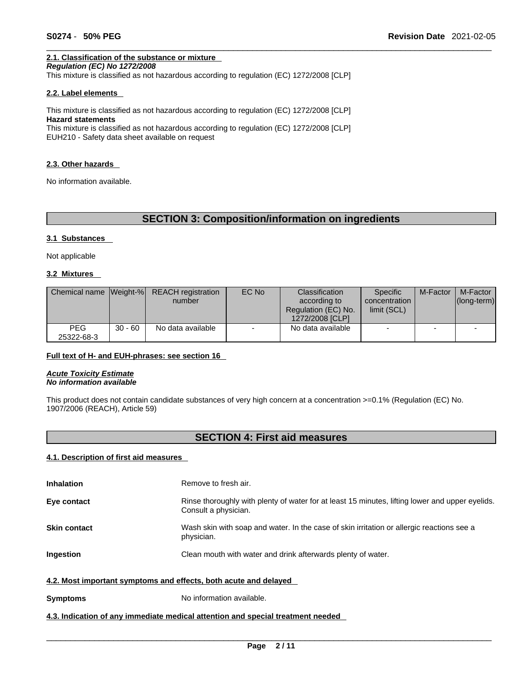# **2.1. Classification of the substance or mixture**

*Regulation (EC) No 1272/2008* 

This mixture is classified as not hazardous according to regulation (EC) 1272/2008 [CLP]

### **2.2. Label elements**

This mixture is classified as not hazardous according to regulation (EC) 1272/2008 [CLP] **Hazard statements** This mixture is classified as not hazardous according to regulation (EC) 1272/2008 [CLP]

EUH210 - Safety data sheet available on request

### **2.3. Other hazards**

No information available.

# **SECTION 3: Composition/information on ingredients**

## **3.1 Substances**

Not applicable

# **3.2 Mixtures**

|                          |           | Chemical name Weight-% REACH registration<br>number | EC No | Classification<br>according to<br>Regulation (EC) No.<br>1272/2008 [CLP] | <b>Specific</b><br>concentration<br>limit (SCL) | M-Factor | M-Factor<br>$ $ (long-term) $ $ |
|--------------------------|-----------|-----------------------------------------------------|-------|--------------------------------------------------------------------------|-------------------------------------------------|----------|---------------------------------|
| <b>PEG</b><br>25322-68-3 | $30 - 60$ | No data available                                   |       | No data available                                                        | -                                               |          |                                 |

# **Full text of H- and EUH-phrases: see section 16**

*Acute Toxicity Estimate No information available* 

This product does not contain candidate substances of very high concern at a concentration >=0.1% (Regulation (EC) No. 1907/2006 (REACH), Article 59)

# **SECTION 4: First aid measures**

# **4.1. Description of first aid measures**

| <b>Inhalation</b>                                                | Remove to fresh air.                                                                                                    |
|------------------------------------------------------------------|-------------------------------------------------------------------------------------------------------------------------|
| Eye contact                                                      | Rinse thoroughly with plenty of water for at least 15 minutes, lifting lower and upper eyelids.<br>Consult a physician. |
| <b>Skin contact</b>                                              | Wash skin with soap and water. In the case of skin irritation or allergic reactions see a<br>physician.                 |
| <b>Ingestion</b>                                                 | Clean mouth with water and drink afterwards plenty of water.                                                            |
| 4.2. Most important symptoms and effects, both acute and delayed |                                                                                                                         |
| <b>Symptoms</b>                                                  | No information available.                                                                                               |

# **4.3. Indication of any immediate medical attention and special treatment needed**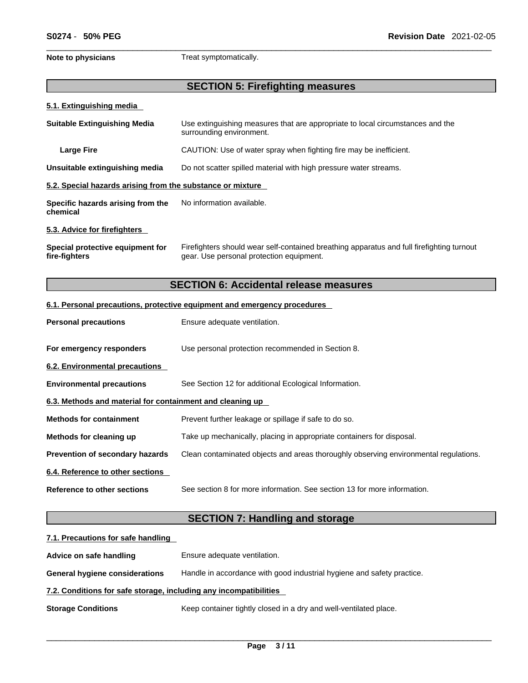**Note to physicians** Treat symptomatically.

# **SECTION 5: Firefighting measures**

# **5.1. Extinguishing media**

| <b>Suitable Extinguishing Media</b>                        | Use extinguishing measures that are appropriate to local circumstances and the<br>surrounding environment.                            |
|------------------------------------------------------------|---------------------------------------------------------------------------------------------------------------------------------------|
| <b>Large Fire</b>                                          | CAUTION: Use of water spray when fighting fire may be inefficient.                                                                    |
| Unsuitable extinguishing media                             | Do not scatter spilled material with high pressure water streams.                                                                     |
| 5.2. Special hazards arising from the substance or mixture |                                                                                                                                       |
| Specific hazards arising from the<br>chemical              | No information available.                                                                                                             |
| 5.3. Advice for firefighters                               |                                                                                                                                       |
| Special protective equipment for<br>fire-fighters          | Firefighters should wear self-contained breathing apparatus and full firefighting turnout<br>gear. Use personal protection equipment. |

# **SECTION 6: Accidental release measures**

# **6.1. Personal precautions, protective equipment and emergency procedures**

| <b>Personal precautions</b>                               | Ensure adequate ventilation.                                                         |
|-----------------------------------------------------------|--------------------------------------------------------------------------------------|
| For emergency responders                                  | Use personal protection recommended in Section 8.                                    |
| 6.2. Environmental precautions                            |                                                                                      |
| <b>Environmental precautions</b>                          | See Section 12 for additional Ecological Information.                                |
| 6.3. Methods and material for containment and cleaning up |                                                                                      |
| <b>Methods for containment</b>                            | Prevent further leakage or spillage if safe to do so.                                |
| Methods for cleaning up                                   | Take up mechanically, placing in appropriate containers for disposal.                |
| <b>Prevention of secondary hazards</b>                    | Clean contaminated objects and areas thoroughly observing environmental regulations. |
| 6.4. Reference to other sections                          |                                                                                      |
| Reference to other sections                               | See section 8 for more information. See section 13 for more information.             |

# **SECTION 7: Handling and storage**

| 7.1. Precautions for safe handling                                |                                                                        |
|-------------------------------------------------------------------|------------------------------------------------------------------------|
| Advice on safe handling                                           | Ensure adequate ventilation.                                           |
| <b>General hygiene considerations</b>                             | Handle in accordance with good industrial hygiene and safety practice. |
| 7.2. Conditions for safe storage, including any incompatibilities |                                                                        |
| <b>Storage Conditions</b>                                         | Keep container tightly closed in a dry and well-ventilated place.      |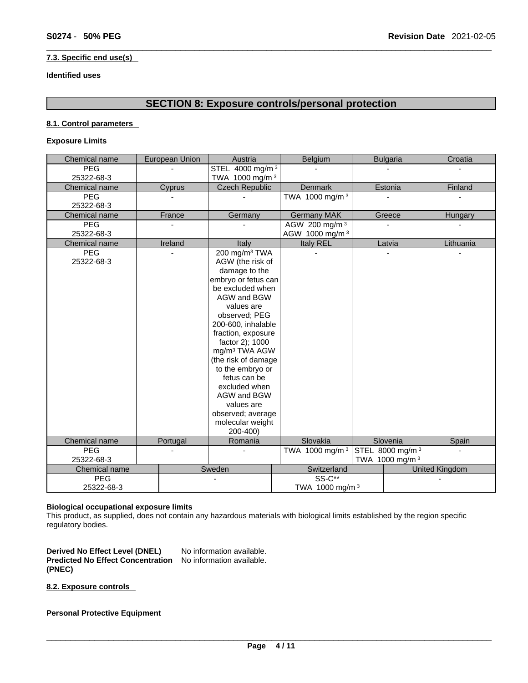# **7.3. Specific end use(s)**

# **Identified uses**

# **SECTION 8: Exposure controls/personal protection**

# **8.1. Control parameters**

# **Exposure Limits**

| Chemical name | European Union | Austria                                 | Belgium                    | <b>Bulgaria</b>             | Croatia               |
|---------------|----------------|-----------------------------------------|----------------------------|-----------------------------|-----------------------|
| <b>PEG</b>    |                | STEL 4000 mg/m <sup>3</sup>             |                            |                             |                       |
| 25322-68-3    |                | TWA 1000 mg/m <sup>3</sup>              |                            |                             |                       |
| Chemical name | Cyprus         | <b>Czech Republic</b>                   | <b>Denmark</b>             | Estonia                     | Finland               |
| <b>PEG</b>    |                |                                         | TWA 1000 mg/m <sup>3</sup> |                             |                       |
| 25322-68-3    |                |                                         |                            |                             |                       |
| Chemical name | France         | Germany                                 | <b>Germany MAK</b>         | Greece                      | Hungary               |
| <b>PEG</b>    |                |                                         | AGW 200 mg/m 3             |                             |                       |
| 25322-68-3    |                |                                         | AGW 1000 mg/m 3            |                             |                       |
| Chemical name | Ireland        | Italy                                   | Italy REL                  | Latvia                      | Lithuania             |
| <b>PEG</b>    |                | 200 mg/m <sup>3</sup> TWA               |                            |                             |                       |
| 25322-68-3    |                | AGW (the risk of                        |                            |                             |                       |
|               |                | damage to the                           |                            |                             |                       |
|               |                | embryo or fetus can<br>be excluded when |                            |                             |                       |
|               |                | AGW and BGW                             |                            |                             |                       |
|               |                | values are                              |                            |                             |                       |
|               |                | observed; PEG                           |                            |                             |                       |
|               |                | 200-600, inhalable                      |                            |                             |                       |
|               |                | fraction, exposure                      |                            |                             |                       |
|               |                | factor 2); 1000                         |                            |                             |                       |
|               |                | mg/m <sup>3</sup> TWA AGW               |                            |                             |                       |
|               |                | (the risk of damage                     |                            |                             |                       |
|               |                | to the embryo or                        |                            |                             |                       |
|               |                | fetus can be                            |                            |                             |                       |
|               |                | excluded when                           |                            |                             |                       |
|               |                | AGW and BGW                             |                            |                             |                       |
|               |                | values are                              |                            |                             |                       |
|               |                | observed; average<br>molecular weight   |                            |                             |                       |
|               |                | 200-400)                                |                            |                             |                       |
| Chemical name | Portugal       | Romania                                 | Slovakia                   | Slovenia                    | Spain                 |
| <b>PEG</b>    |                |                                         | TWA 1000 mg/m <sup>3</sup> | STEL 8000 mg/m <sup>3</sup> | $\mathbf{r}$          |
| 25322-68-3    |                |                                         |                            | TWA 1000 mg/m 3             |                       |
| Chemical name |                | Sweden                                  | Switzerland                |                             | <b>United Kingdom</b> |
| <b>PEG</b>    |                | ä,                                      | <b>SS-C**</b>              |                             |                       |
| 25322-68-3    |                |                                         | TWA 1000 mg/m <sup>3</sup> |                             |                       |

# **Biological occupational exposure limits**

This product, as supplied, does not contain any hazardous materials with biological limits established by the region specific regulatory bodies.

**Derived No Effect Level (DNEL)** No information available. **Predicted No Effect Concentration** No information available. **(PNEC)** 

**8.2. Exposure controls** 

**Personal Protective Equipment**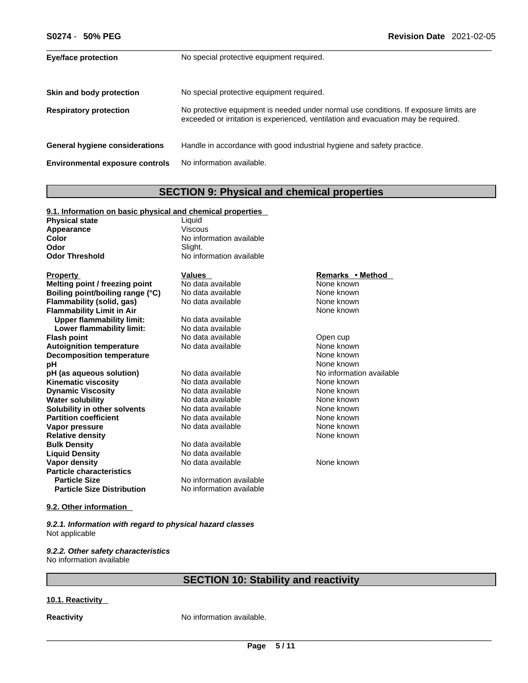| 50% PEG<br>S0274 -                     | <b>Revision Date 2021-02-05</b>                                                                                                                                             |
|----------------------------------------|-----------------------------------------------------------------------------------------------------------------------------------------------------------------------------|
| <b>Eye/face protection</b>             | No special protective equipment required.                                                                                                                                   |
| Skin and body protection               | No special protective equipment required.                                                                                                                                   |
| <b>Respiratory protection</b>          | No protective equipment is needed under normal use conditions. If exposure limits are<br>exceeded or irritation is experienced, ventilation and evacuation may be required. |
| General hygiene considerations         | Handle in accordance with good industrial hygiene and safety practice.                                                                                                      |
| <b>Environmental exposure controls</b> | No information available.                                                                                                                                                   |

# **SECTION 9: Physical and chemical properties**

# **9.1. Information on basic physical and chemical properties**

| <b>Physical state</b> | Liauid                   |
|-----------------------|--------------------------|
| Appearance            | Viscous                  |
| Color                 | No information available |
| Odor                  | Slight.                  |
| <b>Odor Threshold</b> | No information available |

| <b>Property</b>                   | Values                   | Remarks • Method         |
|-----------------------------------|--------------------------|--------------------------|
| Melting point / freezing point    | No data available        | None known               |
| Boiling point/boiling range (°C)  | No data available        | None known               |
| Flammability (solid, gas)         | No data available        | None known               |
| <b>Flammability Limit in Air</b>  |                          | None known               |
| <b>Upper flammability limit:</b>  | No data available        |                          |
| Lower flammability limit:         | No data available        |                          |
| <b>Flash point</b>                | No data available        | Open cup                 |
| <b>Autoignition temperature</b>   | No data available        | None known               |
| <b>Decomposition temperature</b>  |                          | None known               |
| рH                                |                          | None known               |
| pH (as aqueous solution)          | No data available        | No information available |
| <b>Kinematic viscosity</b>        | No data available        | None known               |
| <b>Dynamic Viscosity</b>          | No data available        | None known               |
| <b>Water solubility</b>           | No data available        | None known               |
| Solubility in other solvents      | No data available        | None known               |
| <b>Partition coefficient</b>      | No data available        | None known               |
| Vapor pressure                    | No data available        | None known               |
| <b>Relative density</b>           |                          | None known               |
| <b>Bulk Density</b>               | No data available        |                          |
| <b>Liquid Density</b>             | No data available        |                          |
| Vapor density                     | No data available        | None known               |
| <b>Particle characteristics</b>   |                          |                          |
| <b>Particle Size</b>              | No information available |                          |
| <b>Particle Size Distribution</b> | No information available |                          |

# **9.2. Other information**

*9.2.1. Information with regard to physical hazard classes* Not applicable

## *9.2.2. Other safety characteristics* No information available

# **SECTION 10: Stability and reactivity**

# **10.1. Reactivity**

**Reactivity No information available.**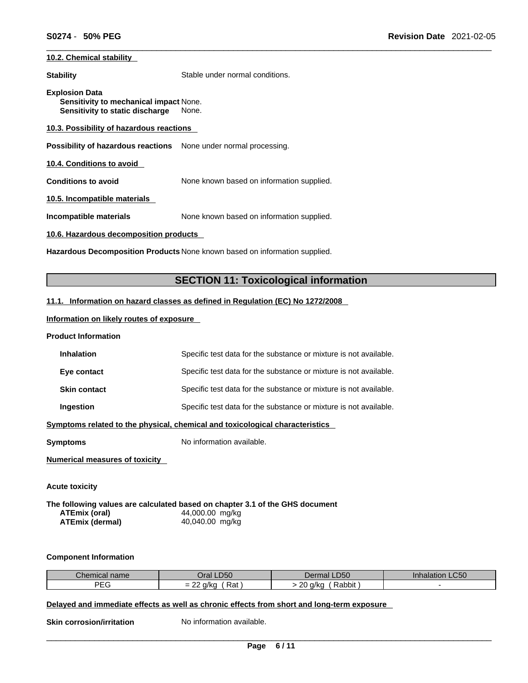# **10.2. Chemical stability**

**Stability** Stable under normal conditions.

**Explosion Data Sensitivity to mechanical impact** None. **Sensitivity to static discharge** None.

**10.3. Possibility of hazardous reactions**

**Possibility of hazardous reactions** None under normal processing.

**10.4. Conditions to avoid** 

**Conditions to avoid** None known based on information supplied.

**10.5. Incompatible materials**

**Incompatible materials** None known based on information supplied.

**10.6. Hazardous decomposition products** 

**Hazardous Decomposition Products** None known based on information supplied.

# **SECTION 11: Toxicological information**

# **11.1. Information on hazard classes as defined in Regulation (EC) No 1272/2008**

**Information on likely routes of exposure**

## **Product Information**

| <b>Inhalation</b>   | Specific test data for the substance or mixture is not available. |
|---------------------|-------------------------------------------------------------------|
| Eye contact         | Specific test data for the substance or mixture is not available. |
| <b>Skin contact</b> | Specific test data for the substance or mixture is not available. |

**Ingestion Specific test data for the substance or mixture is not available.** 

**Symptoms related to the physical,chemical and toxicological characteristics**

**Symptoms** No information available.

**Numerical measures of toxicity**

**Acute toxicity** 

**The following values are calculated based on chapter 3.1 of the GHS document ATEmix (oral)** 44,000.00 mg/kg **ATEmix (dermal)**40,040.00 mg/kg

### **Component Information**

| Chemical name | Oral LD50                                | Dermal LD50                      | Inhalation LC50 |
|---------------|------------------------------------------|----------------------------------|-----------------|
| PEG           | Rat<br>$\sim$<br>a/ko<br>-<br>-<br>- - - | $\Omega$<br>Rabbit<br>a/ko<br>ZU |                 |

**Delayed and immediate effects as well as chronic effects from short and long-term exposure**

**Skin corrosion/irritation** No information available.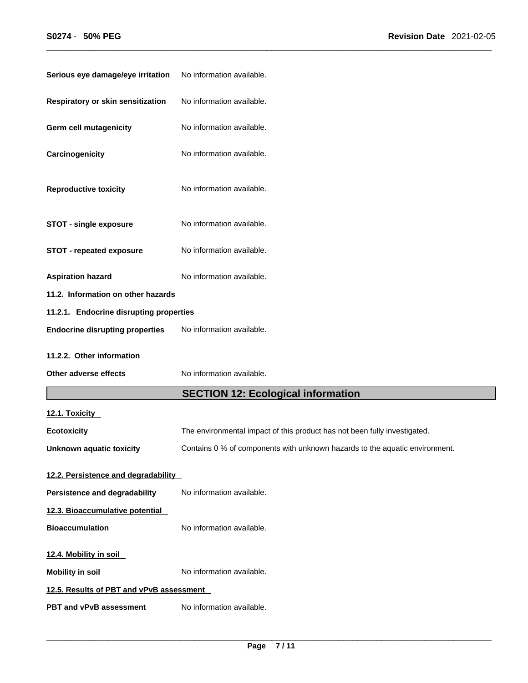| Serious eye damage/eye irritation        | No information available.                                                   |
|------------------------------------------|-----------------------------------------------------------------------------|
| Respiratory or skin sensitization        | No information available.                                                   |
| Germ cell mutagenicity                   | No information available.                                                   |
| Carcinogenicity                          | No information available.                                                   |
| <b>Reproductive toxicity</b>             | No information available.                                                   |
| <b>STOT - single exposure</b>            | No information available.                                                   |
| <b>STOT - repeated exposure</b>          | No information available.                                                   |
| <b>Aspiration hazard</b>                 | No information available.                                                   |
| 11.2. Information on other hazards       |                                                                             |
| 11.2.1. Endocrine disrupting properties  |                                                                             |
| <b>Endocrine disrupting properties</b>   | No information available.                                                   |
| 11.2.2. Other information                |                                                                             |
| Other adverse effects                    | No information available.                                                   |
|                                          | <b>SECTION 12: Ecological information</b>                                   |
| 12.1. Toxicity                           |                                                                             |
| <b>Ecotoxicity</b>                       | The environmental impact of this product has not been fully investigated.   |
|                                          |                                                                             |
| Unknown aquatic toxicity                 | Contains 0 % of components with unknown hazards to the aquatic environment. |
| 12.2. Persistence and degradability      |                                                                             |
| Persistence and degradability            | No information available.                                                   |
| 12.3. Bioaccumulative potential          |                                                                             |
| <b>Bioaccumulation</b>                   | No information available.                                                   |
| 12.4. Mobility in soil                   |                                                                             |
| <b>Mobility in soil</b>                  | No information available.                                                   |
| 12.5. Results of PBT and vPvB assessment |                                                                             |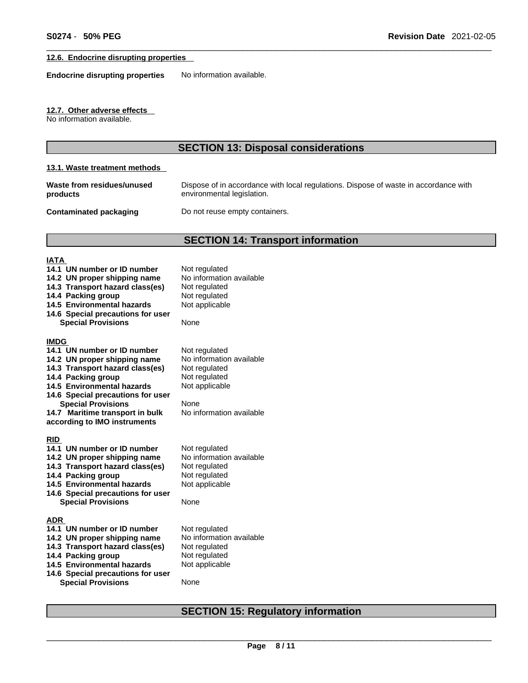# **12.6. Endocrine disrupting properties**

**Endocrine disrupting properties** No information available.

# **12.7. Other adverse effects**

No information available.

# **SECTION 13: Disposal considerations**

# **13.1. Waste treatment methods**

| Waste from residues/unused | Dispose of in accordance with local regulations. Dispose of waste in accordance with |
|----------------------------|--------------------------------------------------------------------------------------|
| products                   | environmental legislation.                                                           |

**Contaminated packaging** Do not reuse empty containers.

# **SECTION 14: Transport information**

# **IATA**

| 14.1 UN number or ID number<br>14.2 UN proper shipping name<br>14.3 Transport hazard class(es)<br>14.4 Packing group<br>14.5 Environmental hazards<br>14.6 Special precautions for user<br><b>Special Provisions</b> | Not regulated<br>No information available<br>Not regulated<br>Not regulated<br>Not applicable<br>None |
|----------------------------------------------------------------------------------------------------------------------------------------------------------------------------------------------------------------------|-------------------------------------------------------------------------------------------------------|
| <b>IMDG</b><br>14.1 UN number or ID number                                                                                                                                                                           | Not regulated                                                                                         |
| 14.2 UN proper shipping name                                                                                                                                                                                         | No information available                                                                              |
| 14.3 Transport hazard class(es)                                                                                                                                                                                      | Not regulated                                                                                         |
| 14.4 Packing group<br>14.5 Environmental hazards                                                                                                                                                                     | Not regulated<br>Not applicable                                                                       |
| 14.6 Special precautions for user                                                                                                                                                                                    |                                                                                                       |
| <b>Special Provisions</b>                                                                                                                                                                                            | None                                                                                                  |
| 14.7 Maritime transport in bulk                                                                                                                                                                                      | No information available                                                                              |
| according to IMO instruments                                                                                                                                                                                         |                                                                                                       |
| <b>RID</b>                                                                                                                                                                                                           |                                                                                                       |
| 14.1 UN number or ID number                                                                                                                                                                                          | Not regulated                                                                                         |
| 14.2 UN proper shipping name                                                                                                                                                                                         | No information available                                                                              |
| 14.3 Transport hazard class(es)                                                                                                                                                                                      | Not regulated                                                                                         |
| 14.4 Packing group                                                                                                                                                                                                   | Not regulated                                                                                         |
| 14.5 Environmental hazards                                                                                                                                                                                           | Not applicable                                                                                        |
| 14.6 Special precautions for user                                                                                                                                                                                    | None                                                                                                  |
| <b>Special Provisions</b>                                                                                                                                                                                            |                                                                                                       |
| <b>ADR</b>                                                                                                                                                                                                           |                                                                                                       |
| 14.1 UN number or ID number                                                                                                                                                                                          | Not regulated                                                                                         |
| 14.2 UN proper shipping name                                                                                                                                                                                         | No information available                                                                              |
| 14.3 Transport hazard class(es)                                                                                                                                                                                      | Not regulated                                                                                         |
| 14.4 Packing group<br>14.5 Environmental hazards                                                                                                                                                                     | Not regulated<br>Not applicable                                                                       |
| 14.6 Special precautions for user                                                                                                                                                                                    |                                                                                                       |
| <b>Special Provisions</b>                                                                                                                                                                                            | None                                                                                                  |

# **SECTION 15: Regulatory information**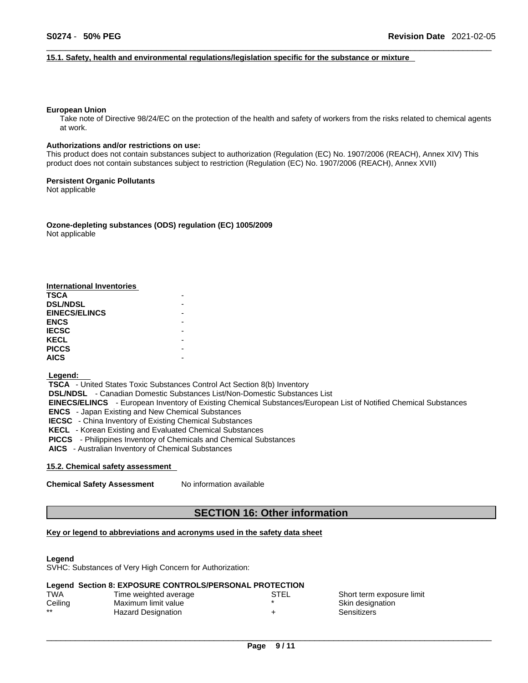### **15.1. Safety, health and environmental regulations/legislation specific for the substance or mixture**

### **European Union**

Take note of Directive 98/24/EC on the protection of the health and safety of workers from the risks related to chemical agents at work.

### **Authorizations and/or restrictions on use:**

This product does not contain substances subject to authorization (Regulation (EC) No. 1907/2006 (REACH), Annex XIV) This product does not contain substances subject to restriction (Regulation (EC) No. 1907/2006 (REACH), Annex XVII)

## **Persistent Organic Pollutants**

Not applicable

**Ozone-depleting substances (ODS) regulation (EC) 1005/2009** Not applicable

| <b>International Inventories</b> |  |
|----------------------------------|--|
| TSCA                             |  |
| <b>DSL/NDSL</b>                  |  |
| <b>EINECS/ELINCS</b>             |  |
| <b>ENCS</b>                      |  |
| <b>IECSC</b>                     |  |
| <b>KECL</b>                      |  |
| <b>PICCS</b>                     |  |
| <b>AICS</b>                      |  |

### **Legend:**

 **TSCA** - United States Toxic Substances Control Act Section 8(b) Inventory  **DSL/NDSL** - Canadian Domestic Substances List/Non-Domestic Substances List  **EINECS/ELINCS** - European Inventory of Existing Chemical Substances/European List of Notified Chemical Substances  **ENCS** - Japan Existing and New Chemical Substances  **IECSC** - China Inventory of Existing Chemical Substances  **KECL** - Korean Existing and Evaluated Chemical Substances  **PICCS** - Philippines Inventory of Chemicals and Chemical Substances  **AICS** - Australian Inventory of Chemical Substances

# **15.2. Chemical safety assessment**

**Chemical Safety Assessment** No information available

# **SECTION 16: Other information**

# **Key or legend to abbreviations and acronyms used in the safety data sheet**

### **Legend**

SVHC: Substances of Very High Concern for Authorization:

### **Legend Section 8: EXPOSURE CONTROLS/PERSONAL PROTECTION**

| TWA     | Time weighted average | STEL | Short term exposure limit |
|---------|-----------------------|------|---------------------------|
| Ceiling | Maximum limit value   |      | Skin designation          |
| $***$   | Hazard Designation    |      | Sensitizers               |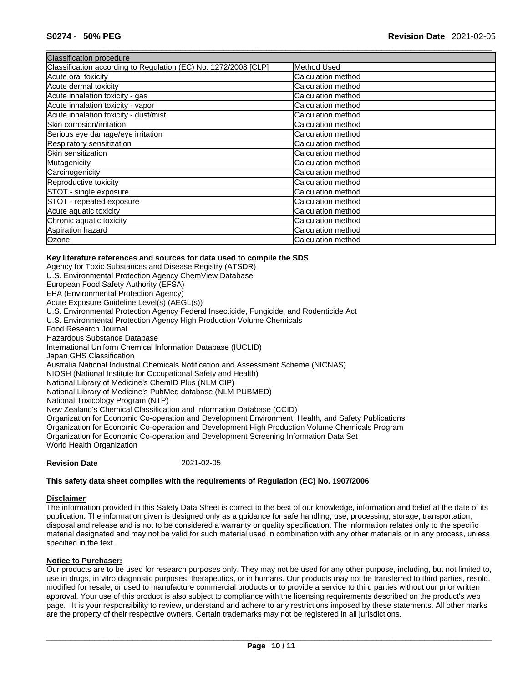| <b>Classification procedure</b>                                 |                           |
|-----------------------------------------------------------------|---------------------------|
| Classification according to Regulation (EC) No. 1272/2008 [CLP] | Method Used               |
| Acute oral toxicity                                             | Calculation method        |
| Acute dermal toxicity                                           | Calculation method        |
| Acute inhalation toxicity - gas                                 | Calculation method        |
| Acute inhalation toxicity - vapor                               | Calculation method        |
| Acute inhalation toxicity - dust/mist                           | <b>Calculation method</b> |
| Skin corrosion/irritation                                       | <b>Calculation method</b> |
| Serious eye damage/eye irritation                               | Calculation method        |
| Respiratory sensitization                                       | <b>Calculation method</b> |
| Skin sensitization                                              | Calculation method        |
| Mutagenicity                                                    | Calculation method        |
| Carcinogenicity                                                 | Calculation method        |
| Reproductive toxicity                                           | Calculation method        |
| STOT - single exposure                                          | <b>Calculation method</b> |
| STOT - repeated exposure                                        | Calculation method        |
| Acute aquatic toxicity                                          | <b>Calculation method</b> |
| Chronic aquatic toxicity                                        | Calculation method        |
| Aspiration hazard                                               | Calculation method        |
| Ozone                                                           | Calculation method        |

## **Key literature references and sources for data used to compile the SDS**

Agency for Toxic Substances and Disease Registry (ATSDR) U.S. Environmental Protection Agency ChemView Database European Food Safety Authority (EFSA) EPA (Environmental Protection Agency) Acute Exposure Guideline Level(s) (AEGL(s)) U.S. Environmental Protection Agency Federal Insecticide, Fungicide, and Rodenticide Act U.S. Environmental Protection Agency High Production Volume Chemicals Food Research Journal Hazardous Substance Database International Uniform Chemical Information Database (IUCLID) Japan GHS Classification Australia National Industrial Chemicals Notification and Assessment Scheme (NICNAS) NIOSH (National Institute for Occupational Safety and Health) National Library of Medicine's ChemID Plus (NLM CIP) National Library of Medicine's PubMed database (NLM PUBMED) National Toxicology Program (NTP) New Zealand's Chemical Classification and Information Database (CCID) Organization for Economic Co-operation and Development Environment, Health, and Safety Publications Organization for Economic Co-operation and Development High Production Volume Chemicals Program Organization for Economic Co-operation and Development Screening Information Data Set World Health Organization

**Revision Date** 2021-02-05

### **This safety data sheet complies with the requirements of Regulation (EC) No. 1907/2006**

# **Disclaimer**

The information provided in this Safety Data Sheet is correct to the best of our knowledge, information and belief at the date of its publication. The information given is designed only as a guidance for safe handling, use, processing, storage, transportation, disposal and release and is not to be considered a warranty or quality specification. The information relates only to the specific material designated and may not be valid for such material used in combination with any other materials or in any process, unless specified in the text.

## **Notice to Purchaser:**

Our products are to be used for research purposes only. They may not be used for any other purpose, including, but not limited to, use in drugs, in vitro diagnostic purposes, therapeutics, or in humans. Our products may not be transferred to third parties, resold, modified for resale, or used to manufacture commercial products or to provide a service to third parties without our prior written approval. Your use of this product is also subject to compliance with the licensing requirements described on the product's web page. It is your responsibility to review, understand and adhere to any restrictions imposed by these statements. All other marks are the property of their respective owners. Certain trademarks may not be registered in all jurisdictions.